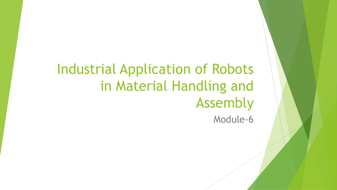## Industrial Application of Robots in Material Handling and Assembly Module-6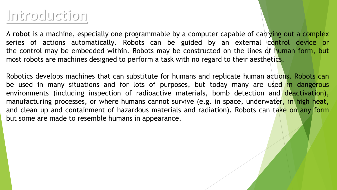## **Introduction**

A **robot** is a machine, especially one programmable by a computer capable of carrying out a complex series of actions automatically. Robots can be guided by an external control device or the control may be embedded within. Robots may be constructed on the lines of human form, but most robots are machines designed to perform a task with no regard to their aesthetics.

Robotics develops machines that can substitute for humans and replicate human actions. Robots can be used in many situations and for lots of purposes, but today many are used in dangerous environments (including inspection of radioactive materials, bomb detection and deactivation), manufacturing processes, or where humans cannot survive (e.g. in space, underwater, in high heat, and clean up and containment of hazardous materials and radiation). Robots can take on any form but some are made to resemble humans in appearance.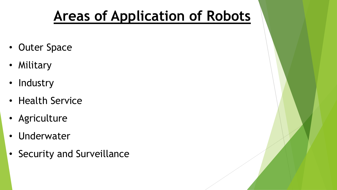# **Areas of Application of Robots**

- Outer Space
- Military
- Industry
- Health Service
- Agriculture
- Underwater
- Security and Surveillance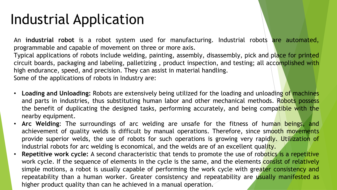# Industrial Application

An **industrial robot** is a robot system used for manufacturing. Industrial robots are automated, programmable and capable of movement on three or more axis. Typical applications of robots include welding, painting, assembly, disassembly, pick and place for printed circuit boards, packaging and labeling, palletizing , product inspection, and testing; all accomplished with

high endurance, speed, and precision. They can assist in material handling.

Some of the applications of robots in Industry are:

- **Loading and Unloading:** Robots are extensively being utilized for the loading and unloading of machines and parts in industries, thus substituting human labor and other mechanical methods. Robots possess the benefit of duplicating the designed tasks, performing accurately, and being compatible with the nearby equipment.
- **Arc Welding**: The surroundings of arc welding are unsafe for the fitness of human beings, and achievement of quality welds is difficult by manual operations. Therefore, since smooth movements provide superior welds, the use of robots for such operations is growing very rapidly. Utilization of industrial robots for arc welding is economical, and the welds are of an excellent quality.
- **Repetitive work cycle:** A second characteristic that tends to promote the use of robotics is a repetitive work cycle. If the sequence of elements in the cycle is the same, and the elements consist of relatively simple motions, a robot is usually capable of performing the work cycle with greater consistency and repeatability than a human worker. Greater consistency and repeatability are usually manifested as higher product quality than can he achieved in a manual operation.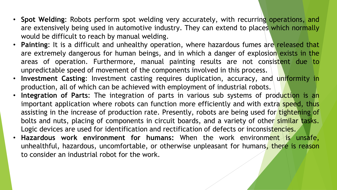- **Spot Welding**: Robots perform spot welding very accurately, with recurring operations, and are extensively being used in automotive industry. They can extend to places which normally would be difficult to reach by manual welding.
- **Painting**: It is a difficult and unhealthy operation, where hazardous fumes are released that are extremely dangerous for human beings, and in which a danger of explosion exists in the areas of operation. Furthermore, manual painting results are not consistent due to unpredictable speed of movement of the components involved in this process.
- **Investment Casting**: Investment casting requires duplication, accuracy, and uniformity in production, all of which can be achieved with employment of industrial robots.
- **Integration of Parts:** The integration of parts in various sub systems of production is an important application where robots can function more efficiently and with extra speed, thus assisting in the increase of production rate. Presently, robots are being used for tightening of bolts and nuts, placing of components in circuit boards, and a variety of other similar tasks. Logic devices are used for identification and rectification of defects or inconsistencies.
- **Hazardous work environment for humans:** When the work environment is unsafe, unhealthful, hazardous, uncomfortable, or otherwise unpleasant for humans, there is reason to consider an industrial robot for the work.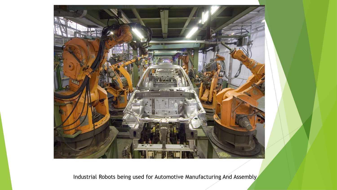

Industrial Robots being used for Automotive Manufacturing And Assembly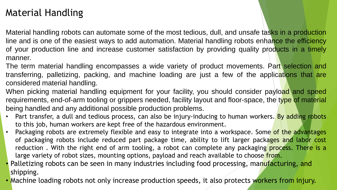### Material Handling

Material handling robots can automate some of the most tedious, dull, and unsafe tasks in a production line and is one of the easiest ways to add automation. Material handling robots enhance the efficiency of your production line and increase customer satisfaction by providing quality products in a timely manner.

The term material handling encompasses a wide variety of product movements. Part selection and transferring, palletizing, packing, and machine loading are just a few of the applications that are considered material handling.

When picking material handling equipment for your facility, you should consider payload and speed requirements, end-of-arm tooling or grippers needed, facility layout and floor-space, the type of material being handled and any additional possible production problems.

- Part transfer, a dull and tedious process, can also be injury-inducing to human workers. By adding robots to this job, human workers are kept free of the hazardous environment.
- Packaging robots are extremely flexible and easy to integrate into a workspace. Some of the advantages of packaging robots include reduced part package time, ability to lift larger packages and labor cost reduction. With the right end of arm tooling, a robot can complete any packaging process. There is a large variety of robot sizes, mounting options, payload and reach available to choose from.
- Palletizing robots can be seen in many industries including food processing, manufacturing, and shipping.
- Machine loading robots not only increase production speeds, it also protects workers from injury.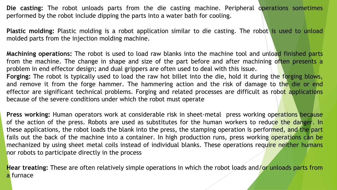**Die casting:** The robot unloads parts from the die casting machine. Peripheral operations sometimes performed by the robot include dipping the parts into a water bath for cooling.

**Plastic molding:** Plastic molding is a robot application similar to die casting. The robot is used to unload molded parts from the injection molding machine.

**Machining operations:** The robot is used to load raw blanks into the machine tool and unload finished parts from the machine. The change in shape and size of the part before and after machining often presents a problem in end effector design; and dual grippers are often used to deal with this issue. **Forging:** The robot is typically used to load the raw hot billet into the die, hold it during the forging blows, and remove it from the forge hammer. The hammering action and the risk of damage to the die or end

effector are significant technical problems. Forging and related processes are difficult as robot applications because of the severe conditions under which the robot must operate

**Press working:** Human operators work at considerable risk in sheet-metal press working operations because of the action of the press. Robots are used as substitutes for the human workers to reduce the danger. In these applications, the robot loads the blank into the press, the stamping operation is performed, and the part fails out the back of the machine into a container. In high production runs, press working operations can be mechanized by using sheet metal coils instead of individual blanks. These operations require neither humans nor robots to participate directly in the process

**Hear treating:** These are often relatively simple operations in which the robot loads and/or unloads parts from a furnace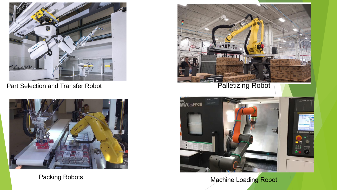

Part Selection and Transfer Robot Palletizing Robot







Packing Robots **Machine Loading Robot** Machine Loading Robot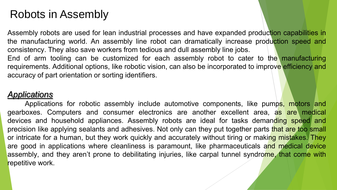## Robots in Assembly

Assembly robots are used for lean industrial processes and have expanded production capabilities in the manufacturing world. An assembly line robot can dramatically increase production speed and consistency. They also save workers from tedious and dull assembly line jobs. End of arm tooling can be customized for each assembly robot to cater to the manufacturing requirements. Additional options, like robotic vision, can also be incorporated to improve efficiency and

accuracy of part orientation or sorting identifiers.

### *Applications*

Applications for robotic assembly include automotive components, like pumps, motors and gearboxes. Computers and consumer electronics are another excellent area, as are medical devices and household appliances. Assembly robots are ideal for tasks demanding speed and precision like applying sealants and adhesives. Not only can they put together parts that are too small or intricate for a human, but they work quickly and accurately without tiring or making mistakes. They are good in applications where cleanliness is paramount, like pharmaceuticals and medical device assembly, and they aren't prone to debilitating injuries, like carpal tunnel syndrome, that come with repetitive work.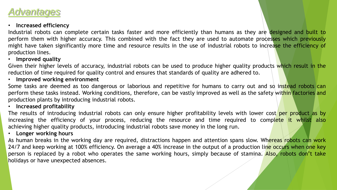### *Advantages*

#### • **Increased efficiency**

Industrial robots can complete certain tasks faster and more efficiently than humans as they are designed and built to perform them with higher accuracy. This combined with the fact they are used to automate processes which previously might have taken significantly more time and resource results in the use of industrial robots to increase the efficiency of production lines.

#### • **Improved quality**

Given their higher levels of accuracy, industrial robots can be used to produce higher quality products which result in the reduction of time required for quality control and ensures that standards of quality are adhered to.

#### • **Improved working environment**

Some tasks are deemed as too dangerous or laborious and repetitive for humans to carry out and so instead robots can perform these tasks instead. Working conditions, therefore, can be vastly improved as well as the safety within factories and production plants by introducing industrial robots.

#### • **Increased profitability**

The results of introducing industrial robots can only ensure higher profitability levels with lower cost per product as by increasing the efficiency of your process, reducing the resource and time required to complete it whilst also achieving higher quality products, introducing industrial robots save money in the long run.

#### • **Longer working hours**

As human breaks in the working day are required, distractions happen and attention spans slow. Whereas robots can work 24/7 and keep working at 100% efficiency. On average a 40% increase in the output of a production line occurs when one key person is replaced by a robot who operates the same working hours, simply because of stamina. Also, robots don't take holidays or have unexpected absences.